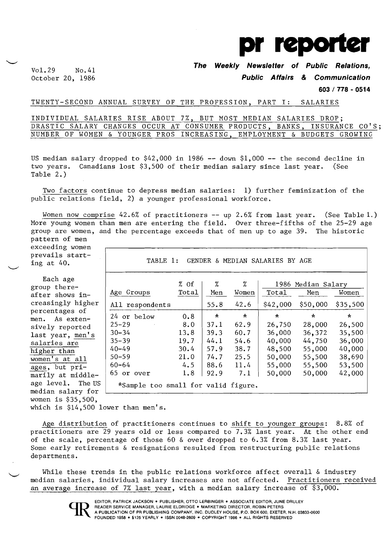

Vol. 29 No.41 **The Weekly Newsletter of Public Relations,** 

October 20, 1986 **Public Affairs & Communication** 

**603 I 778 - 0514** 

## TWENTY-SECOND ANNUAL SURVEY OF THE PROFESSION, PART I: SALARIES

INDIVIDUAL SALARIES RISE ABOUT 7%, BUT MOST MEDIAN SALARIES DROP; DRASTIC SALARY CHANGES OCCUR AT CONSUMER PRODUCTS, BANKS, INSURANCE CO'S; NUMBER OF WOMEN & YOUNGER PROS INCREASING, EMPLOYMENT & BUDGETS GROWING

US median salary dropped to  $$42,000$  in 1986 -- down  $$1,000$  -- the second decline in two years. Canadians lost \$3,500 of their median salary since last year. (See Table 2.)

Two factors continue to depress median salaries: 1) further feminization of the public relations field, 2) a younger professional workforce.

Women now comprise 42.6% of practitioners -- up 2.6% from last year. (See Table 1.) More young women than men are entering the field. Over three-fifths of the 25-29 age group are women, and the percentage exceeds that of men up to age 39. The historic pattern of men

exceeding women prevails starting at 40.

Each age group thereafter shows increasingly higher percentages of men. As extensively reported last year, men's salaries are higher than women's at all ages, but primarily at middleage level. The US median salary for women is \$35,500,

TABLE 1: GENDER & MEDIAN SALARIES BY AGE

|                                     | % of  | %       | %       |          | 1986 Median Salary |          |
|-------------------------------------|-------|---------|---------|----------|--------------------|----------|
| Age Groups                          | Total | Men     | Women   | Total    | Men                | Women    |
| All respondents                     |       | 55.8    | 42.6    | \$42,000 | \$50,000           | \$35,500 |
| 24 or below                         | 0.8   | $\star$ | $\star$ | $\star$  | $\star$            | ∗        |
| $25 - 29$                           | 8.0   | 37.1    | 62.9    | 26,750   | 28,000             | 26,500   |
| $30 - 34$                           | 13.8  | 39.3    | 60.7    | 36,000   | 36,372             | 35,500   |
| $35 - 39$                           | 19.7  | 44.1    | 54.6    | 40,000   | 44,750             | 36,000   |
| $40 - 49$                           | 30.4  | 57.9    | 38.7    | 48,500   | 55,000             | 40,000   |
| $50 - 59$                           | 21.0  | 74.7    | 25.5    | 50,000   | 55,500             | 38,690   |
| $60 - 64$                           | 4.5   | 88.6    | 11.4    | 55,000   | 55,500             | 53,500   |
| 65 or over                          | 1.8   | 92.9    | 7.1     | 50,000   | 50,000             | 42,000   |
| *Sample too small for valid figure. |       |         |         |          |                    |          |

which is \$14,500 lower than men's.

Age distribution of practitioners continues to shift to younger groups: 8.8% of practitioners are 29 years old or less compared to 7.3% last year. At the other end of the scale, percentage of those 60 & over dropped to 6.3% from 8.3% last year. Some early retirements & resignations resulted from restructuring public relations departments.

While these trends in the public relations workforce affect overall & industry median salaries, individual salary increases are not affected. Practitioners received an average increase of 7% last year, with a median salary increase of \$3,000.



EDITOR, PATRICK JACKSON ● PUBLISHER, OTTO LERBINGER ● ASSOCIATE EDITOR, JUNE DRULEY<br>READER SERVICE MANAGER, LAURIE ELDRIDGE ● MARKETING DIRECTOR, ROBIN PETERS<br>A PUBLICATION OF PR PUBLISHING COMPANY, INC. DUDLEY HOUSE, P.O FOUNDED 1958 • \$125 YEARLY • ISSN 0048-2609 • COPYRIGHT 1986 • ALL RIGHTS RESERVED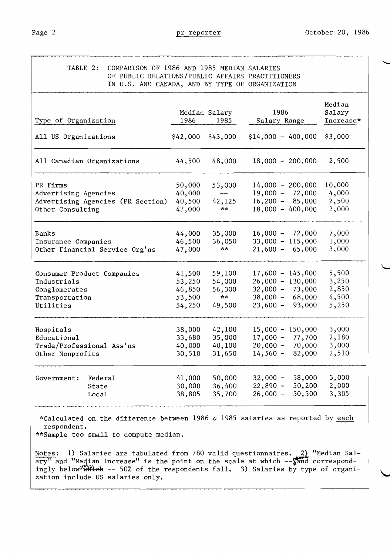| Type of Organization              | 1986   | Median Salary<br>1985 | 1986<br>Salary Range | Median<br>Salary<br>Increase* |
|-----------------------------------|--------|-----------------------|----------------------|-------------------------------|
| All US Organizations              |        | $$42,000$ $$43,000$   | $$14,000 - 400,000$  | \$3,000                       |
| All Canadian Organizations        | 44,500 | 48,000                | $18,000 - 200,000$   | 2,500                         |
| PR Firms                          | 50,000 | 53,000                | $14,000 - 200,000$   | 10,000                        |
| Advertising Agencies              | 40,000 |                       | $19,000 - 72,000$    | 4,000                         |
| Advertising Agencies (PR Section) | 40,500 | 42,125                | $16,200 - 85,000$    | 2,500                         |
| Other Consulting                  | 42,000 | **                    | $18,000 - 400,000$   | 2,000                         |
| <b>Banks</b>                      | 44,000 | 35,000                | $16,000 - 72,000$    | 7,000                         |
| Insurance Companies               | 46,500 | 36,050                | $33,000 - 115,000$   | 1,000                         |
| Other Financial Service Org'ns    | 47,000 | **                    | $21,600 - 65,000$    | 3,000                         |
| Consumer Product Companies        | 41,500 | 59,100                | $17,600 - 145,000$   | 5,500                         |
| Industrials                       | 53,250 | 54,000                | $26,000 - 130,000$   | 3,250                         |
| Conglomerates                     | 46,850 | 56,300                | $32,000 - 73,000$    | 2,850                         |
| Transportation                    | 53,500 | **                    | $38,000 - 68,000$    | 4,500                         |
| Utilities                         | 54,250 | 49,500                | $23,600 -$<br>93,000 | 5,250                         |
| Hospitals                         | 38,000 | 42,100                | $15,000 - 150,000$   | 3,000                         |
| Educational                       | 33,680 | 35,000                | $17,000 -$<br>77,700 | 2,180                         |
| Trade/Professional Ass'ns         | 40,000 | 40,100                | $20,000 -$<br>70,000 | 3,000                         |
| Other Nonprofits                  | 30,510 | 31,650                | $14,560 -$<br>82,000 | 2,510                         |
| Federal                           | 41,000 | 50,000                | $32,000 -$<br>58,000 | 3,000                         |
| Government:<br>State              | 30,000 | 36,400                | $22,890 -$<br>50,200 | 2,000                         |
| Local                             | 38,805 | 35,700                | $26,000 -$<br>50,500 | 3,305                         |

Notes:  $1)$  Salaries are tabulated from 780 valid questionnaires.  $\frac{2}{\sqrt{2}}$  "Median Sal- $\overline{\text{ary}''}$  and "Median Increase" is the point on the scale at which  $-\frac{1}{2}$  correspondingly below<sup>4</sup> which -- 50% of the respondents fall. 3) Salaries by type of organization include US salaries only.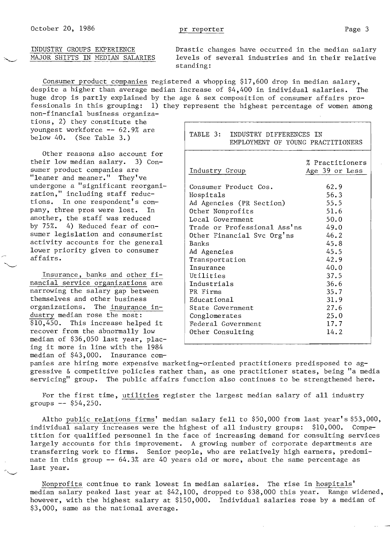INDUSTRY GROUPS EXPERIENCE Drastic changes have occurred in the median salary<br>MAJOR SHIFTS IN MEDIAN SALARIES levels of several industries and in their relative levels of several industries and in their relative standing:

Consumer product companies registered a whopping \$17,600 drop in median salary, despite a higher than average median increase of \$4,400 in individual salaries. The huge drop is partly explained by the age & sex composition of consumer affairs professionals in this grouping: 1) they represent the highest percentage of women among

non-financial business organizations, 2) they constitute the youngest workforce **--** 62.9% are below 40. (See Table 3.)

Other reasons also account for their low median salary. 3) Consumer product companies are "leaner and meaner." They've undergone a "significant reorganization," including staff reductions. In one respondent's company, three pros were lost. In another, the staff was reduced by 75%. 4) Reduced fear of consumer legislation and consumerist activity accounts for the general lower priority given to consumer affairs.

Insurance, banks and other financial service organizations are narrowing the salary gap between themselves and other business organizations. The insurance industry median rose the most: \$10,450. This increase helped it recover from the abnormally low median of \$36,050 last year, placing it more in line with the 1984 median of \$43,000. Insurance com-

| TABLE 3:<br>INDUSTRY DIFFERENCES IN<br>EMPLOYMENT OF YOUNG PRACTITIONERS                                                                                                                                                                                |                                                                                                      |
|---------------------------------------------------------------------------------------------------------------------------------------------------------------------------------------------------------------------------------------------------------|------------------------------------------------------------------------------------------------------|
| Industry Group                                                                                                                                                                                                                                          | % Practitioners<br>Age 39 or Less                                                                    |
| Consumer Product Cos.<br>Hospitals<br>Ad Agencies (PR Section)<br>Other Nonprofits<br>Local Government<br>Trade or Professional Ass'ns<br>Other Financial Svc Org'ns<br>Banks<br>Ad Agencies<br>Transportation<br>Insurance<br>Utilities<br>Industrials | 62.9<br>56.3<br>55.5<br>51.6<br>50.0<br>49.0<br>46.2<br>45.8<br>45.5<br>42.9<br>40.0<br>37.5<br>36.6 |
| PR Firms<br>Educational<br>State Government<br>Conglomerates<br>Federal Government<br>Other Consulting                                                                                                                                                  | 35.7<br>31.9<br>27.6<br>25.0<br>17.7<br>14.2                                                         |

panies are hiring more expensive marketing-oriented practitioners predisposed to aggressive & competitive policies rather than, as one practitioner states, being "a media servicing" group. The public affairs function also continues to be strengthened here.

For the first time, utilities register the largest median salary of all industry groups **--** \$54,250.

Altho public relations firms' median salary fell to \$50,000 from last year's \$53,000, individual salary increases were the highest of all industry groups: \$10,000. Competition for qualified personnel in the face of increasing demand for consulting services largely accounts for this improvement. A growing number of corporate departments are transferring work to firms. Senior people, who are relatively high earners, predominate in this group **--** 64.3% are 40 years old or more, about the same percentage as last year.

Nonprofits continue to rank lowest in median salaries. The rise in hospitals' median salary peaked last year at \$42,100, dropped to \$38,000 this year. Range widened, however, with the highest salary at \$150,000. Individual salaries rose by a median of \$3,000, same as the national average.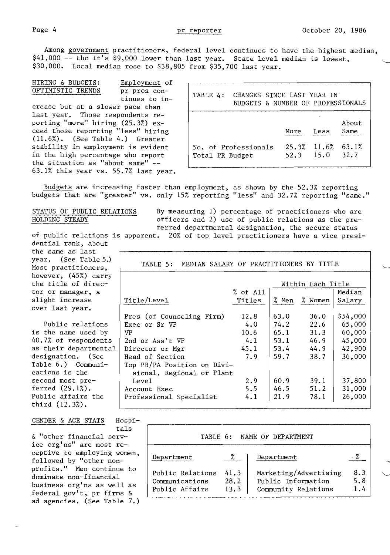Among government practitioners, federal level continues to have the highest median, \$41,000 -- tho it's \$9,000 lower than last year. State level median is lowest, \$30,000. Local median rose to \$38,805 from \$35,700 last year.

HIRING & BUDGETS: Employment of OPTIMISTIC TRENDS pr pros continues to increase but at a slower pace than last year. Those respondents reporting "more" hiring (25.3%) exceed those reporting "less" hiring  $(11.6%)$ . (See Table 4.) Greater stability in employment is evident in the high percentage who report the situation as "about same" - 63.1% this year vs. 55.7% last year.

| TABLE 4:        | CHANGES SINCE LAST YEAR IN<br>BUDGETS & NUMBER OF PROFESSIONALS |       |                             |               |
|-----------------|-----------------------------------------------------------------|-------|-----------------------------|---------------|
|                 |                                                                 | More  | Less                        | About<br>Same |
| Total PR Budget | No. of Professionals                                            | 25.3% | $11.6\%$ 63.1%<br>52.3 15.0 | 32.7          |

Budgets are increasing faster than employment, as shown by the 52.3% reporting budgets that are "greater" vs. only 15% reporting "less" and 32.7% reporting "same."

STATUS OF PUBLIC RELATIONS By measuring 1) percentage of practitioners who are<br>HOLDING STEADY officers and 2) use of public relations as the preofficers and 2) use of public relations as the pre-

ferred departmental designation, the secure status<br>of public relations is apparent. 20% of top level practitioners have a vice pres 20% of top level practitioners have a vice presidential rank, about

the same as last year. (See Table 5.) Most practitioners, however, (45%) carry the title of director or manager, a slight increase over last year.

Public relations is the name used by 40.7% of respondents as their departmental<br>designation. (See designation. Table 6.) Communications is the second most preferred (29.1%). Public affairs the third (12.3%).

## GENDER & AGE STATS Hospi-

tals & "other financial service org'ns" are most receptive to employing women, followed by "other nonprofits." Men continue to dominate non-financial business org'ns as well as federal gov't, pr firms & ad agencies. (See Table 7.)

| MEDIAN SALARY OF PRACTITIONERS BY TITLE<br>TABLE 5:                                                          |                                           |                                              |                                              |                                                            |  |
|--------------------------------------------------------------------------------------------------------------|-------------------------------------------|----------------------------------------------|----------------------------------------------|------------------------------------------------------------|--|
| Within Each Title                                                                                            |                                           |                                              |                                              |                                                            |  |
|                                                                                                              | % of A11                                  |                                              |                                              | Median                                                     |  |
| Title/Leve1                                                                                                  | Titles                                    | % Men                                        | % Women                                      | Salary                                                     |  |
| Pres (of Counseling Firm)<br>Exec or Sr VP<br>VP<br>2nd or Ass't VP<br>Director or Mgr<br>Head of Section    | 12.8<br>4.0<br>10.6<br>4.1<br>45.1<br>7.9 | 63.0<br>74.2<br>65.1<br>53.1<br>53.4<br>59.7 | 36.0<br>22.6<br>31.3<br>46.9<br>44.9<br>38.7 | \$54,000<br>65,000<br>60,000<br>45,000<br>42,900<br>36,000 |  |
| Top PR/PA Position on Divi-<br>sional, Regional or Plant<br>Leve1<br>Account Exec<br>Professional Specialist | 2.9<br>5.5<br>4.1                         | 60.9<br>46.5<br>21.9                         | 39.1<br>51.2<br>78.1                         | 37,800<br>31,000<br>26,000                                 |  |

|                                                      |                      | TABLE 6: NAME OF DEPARTMENT                                        |                   |
|------------------------------------------------------|----------------------|--------------------------------------------------------------------|-------------------|
| Department                                           | %.                   | Department                                                         |                   |
| Public Relations<br>Communications<br>Public Affairs | 41.3<br>28.2<br>13.3 | Marketing/Advertising<br>Public Information<br>Community Relations | 8.3<br>5.8<br>1.4 |

"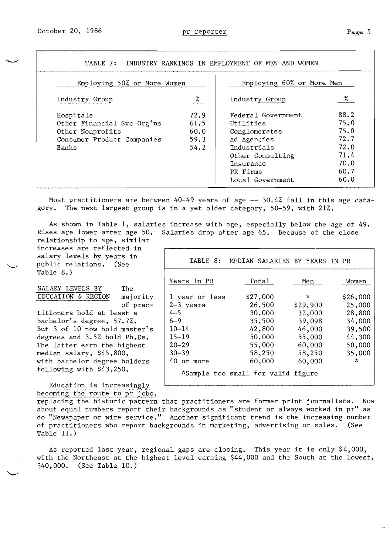| Employing 50% or More Women |      | Employing 60% or More Men |      |
|-----------------------------|------|---------------------------|------|
| Industry Group              | %    | Industry Group            | %    |
| Hospitals                   | 72.9 | Federal Government        | 88.2 |
| Other Financial Svc Org'ns  | 61.5 | Utilities                 | 75.0 |
| Other Nonprofits            | 60.0 | Conglomerates             | 75.0 |
| Consumer Product Companies  | 59.3 | Ad Agencies               | 72.7 |
| Banks                       | 54.2 | <b>Industrials</b>        | 72.0 |
|                             |      | Other Consulting          | 71.4 |
|                             |      | Insurance                 | 70.0 |
|                             |      | PR Firms                  | 60.7 |
|                             |      | Local Government          | 60.0 |

Most practitioners are between 40-49 years of age -- 30.4% fall in this age catagory. The next largest group is in a yet older category, 50-59, with 21%.

As shown in Table 1, salaries increase with age, especially below the age of 49. Rises are lower after age 50. Salaries drop after age 65. Because of the close relationship to age, similar

increases are reflected in salary levels by years in public relations. (See Table 8.)

SALARY LEVELS BY The EDUCATION & REGION majority of prac-<br>titioners hold at least a bachelor's degree, 57.7%. But  $3$  of  $10$  now hold master's degrees and  $3.5%$  hold Ph.Ds. The latter earn the highest median salary,  $$45,800,$ with bachelor degree holders following with  $$43,250.$ 

| s in<br>ee |                | TABLE 8: MEDIAN SALARIES BY YEARS IN PR |          |          |
|------------|----------------|-----------------------------------------|----------|----------|
| The        | Years In PR    | Total                                   | Men      | Women    |
| majority   | 1 year or less | \$27,000                                | $\star$  | \$26,000 |
| of prac-   | $2-3$ years    | 26,500                                  | \$29,900 | 25,000   |
| st a       | $4 - 5$        | 30,000                                  | 32,000   | 28,800   |
| $.7\%$ .   | $6 - 9$        | 35,500                                  | 39,098   | 34,000   |
| master's   | $10 - 14$      | 42,800                                  | 46,000   | 39,500   |
| Ph.Ds.     | $15 - 19$      | 50,000                                  | 55,000   | 44,300   |
| ighest     | $20 - 29$      | 55,000                                  | 60,000   | 50,000   |
| 0,         | $30 - 39$      | 58,250                                  | 58,250   | 35,000   |
| holders    | 40 or more     | 60,000                                  | 60,000   | $\star$  |
| 0.         |                | *Sample too small for valid figure      |          |          |

Education is increasingly becoming the route to pr jobs,

replacing the historic pattern that practitioners are former print journalists. Now about equal numbers report their backgrounds as "student or always worked in pr" as do "Newspaper or wire service." Another significant trend is the increasing number of practitioners who report backgrounds in marketing, advertising or sales. (See Table 11.)

As reported last year, regional gaps are closing. This year it is only \$4,000, with the Northeast at the highest level earning \$44,000 and the South at the lowest, \$40,000. (See Table 10.)